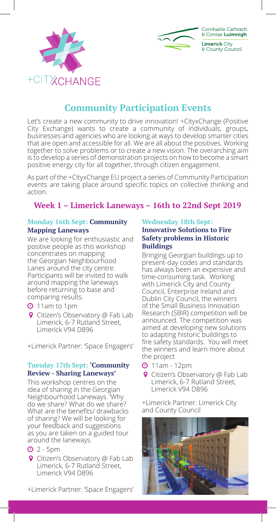



# **Community Participation Events**

Let's create a new community to drive innovation! +CityxChange (Positive City Exchange) wants to create a community of individuals, groups, businesses and agencies who are looking at ways to develop smarter cities that are open and accessible for all. We are all about the positives. Working together to solve problems or to create a new vision. The overarching aim is to develop a series of demonstration projects on how to become a smart positive energy city for all together, through citizen engagement.

As part of the +CityxChange EU project a series of Community Participation events are taking place around specific topics on collective thinking and action.

# **Week 1 – Limerick Laneways – 16th to 22nd Sept 2019**

#### **Monday 16th Sept: Community Mapping Laneways**

We are looking for enthusiastic and positive people as this workshop concentrates on mapping the Georgian Neighbourhood Lanes around the city centre. Participants will be invited to walk around mapping the laneways before returning to base and comparing results.

- **O** 11am to 1pm
- **9** Citizen's Observatory @ Fab Lab Limerick, 6-7 Rutland Street, Limerick V94 D896

+Limerick Partner: 'Space Engagers'

#### **Tuesday 17th Sept: 'Community Review - Sharing Laneways'**

This workshop centres on the idea of sharing in the Georgian Neighbourhood Laneways. 'Why do we share? What do we share? What are the benefits/ drawbacks of sharing? We will be looking for your feedback and suggestions as you are taken on a guided tour around the laneways.

- $Q$  2 5pm
- **Q** Citizen's Observatory @ Fab Lab Limerick, 6-7 Rutland Street, Limerick V94 D896

#### +Limerick Partner: 'Space Engagers'

#### **Wednesday 18th Sept: Innovative Solutions to Fire Safety problems in Historic Buildings**

Bringing Georgian buildings up to present-day codes and standards has always been an expensive and time-consuming task. Working with Limerick City and County Council, Enterprise Ireland and Dublin City Council, the winners of the Small Business Innovation Research (SBIR) competition will be announced. The competition was aimed at developing new solutions to adapting historic buildings to fire safety standards. You will meet the winners and learn more about the project

- 11am 12pm
- **9** Citizen's Observatory @ Fab Lab Limerick, 6-7 Rutland Street, Limerick V94 D896

+Limerick Partner: Limerick City and County Council